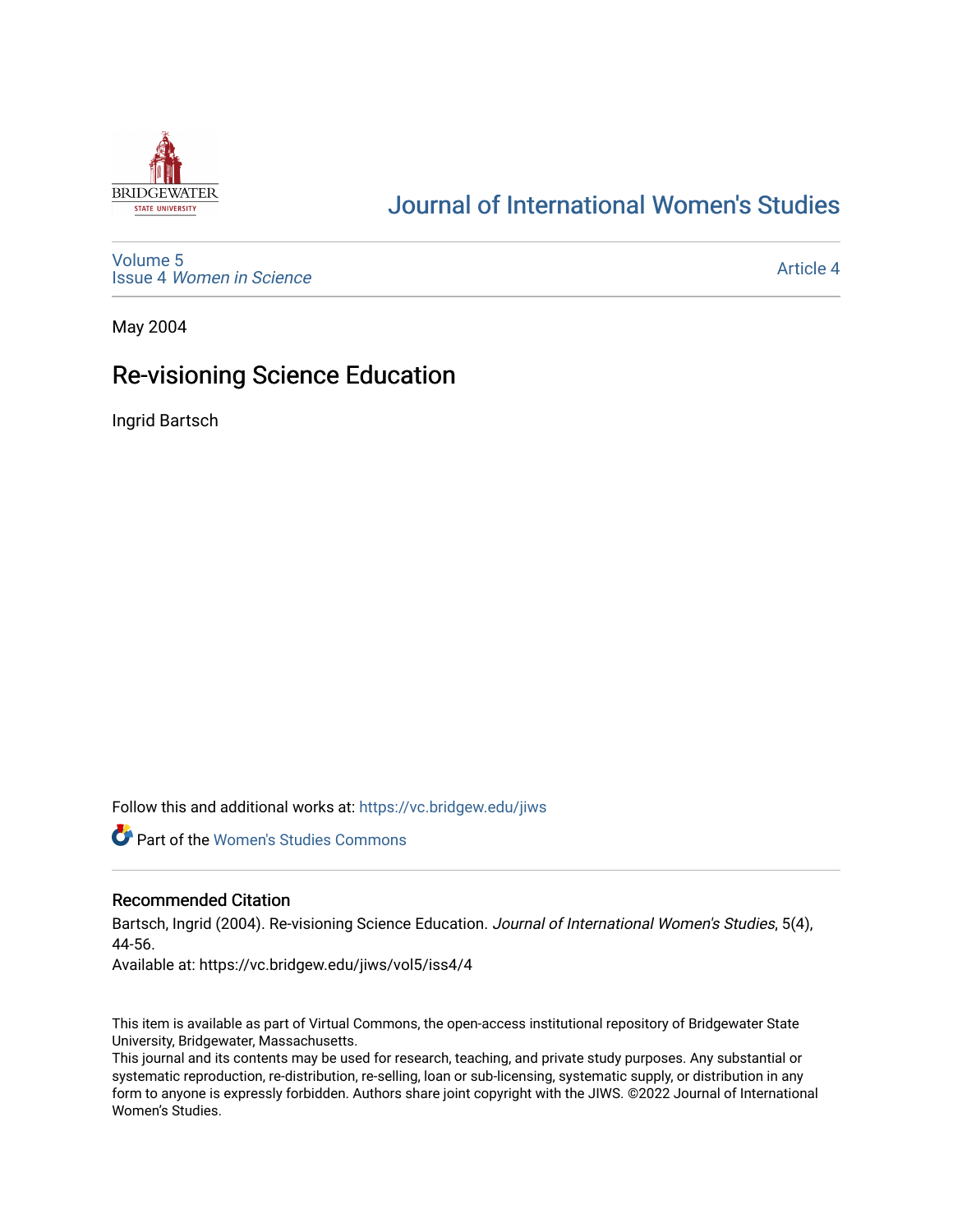

# [Journal of International Women's Studies](https://vc.bridgew.edu/jiws)

[Volume 5](https://vc.bridgew.edu/jiws/vol5) Issue 4 [Women in Science](https://vc.bridgew.edu/jiws/vol5/iss4) 

[Article 4](https://vc.bridgew.edu/jiws/vol5/iss4/4) 

May 2004

## Re-visioning Science Education

Ingrid Bartsch

Follow this and additional works at: [https://vc.bridgew.edu/jiws](https://vc.bridgew.edu/jiws?utm_source=vc.bridgew.edu%2Fjiws%2Fvol5%2Fiss4%2F4&utm_medium=PDF&utm_campaign=PDFCoverPages)

**C** Part of the Women's Studies Commons

#### Recommended Citation

Bartsch, Ingrid (2004). Re-visioning Science Education. Journal of International Women's Studies, 5(4), 44-56.

Available at: https://vc.bridgew.edu/jiws/vol5/iss4/4

This item is available as part of Virtual Commons, the open-access institutional repository of Bridgewater State University, Bridgewater, Massachusetts.

This journal and its contents may be used for research, teaching, and private study purposes. Any substantial or systematic reproduction, re-distribution, re-selling, loan or sub-licensing, systematic supply, or distribution in any form to anyone is expressly forbidden. Authors share joint copyright with the JIWS. ©2022 Journal of International Women's Studies.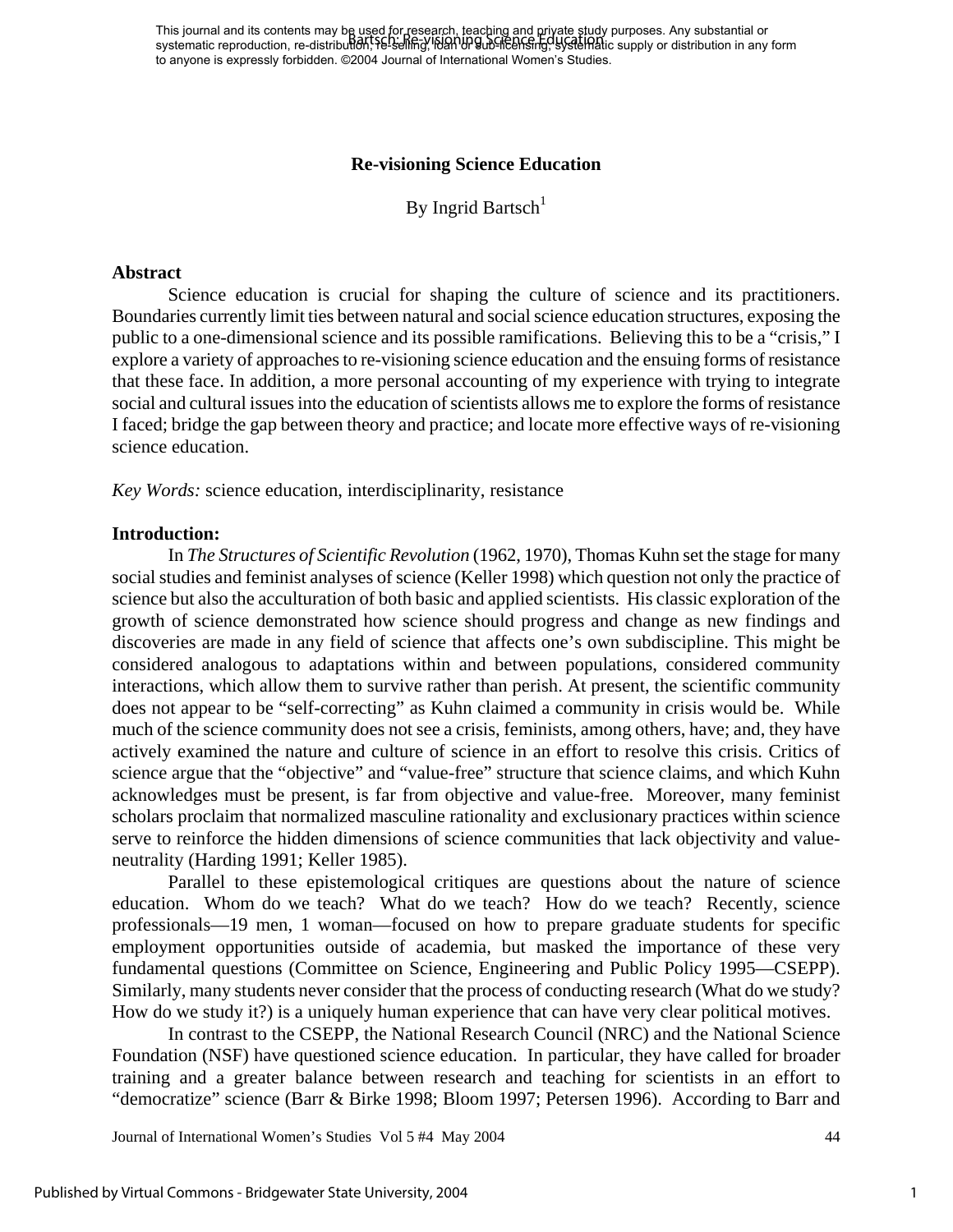This journal and its contents may be used for research, teaching and private study purposes. Any substantial or This journal and its contents may be aged for research, reacting and private study parposes. Any substantial or<br>systematic reproduction, re-distribution, Fe-selling, 1690 by the ensing, systematic supply or distribution in to anyone is expressly forbidden. ©2004 Journal of International Women's Studies.

#### **Re-visioning Science Education**

By Ingrid Bartsch<sup>[1](#page-13-0)</sup>

#### **Abstract**

Science education is crucial for shaping the culture of science and its practitioners. Boundaries currently limit ties between natural and social science education structures, exposing the public to a one-dimensional science and its possible ramifications. Believing this to be a "crisis," I explore a variety of approaches to re-visioning science education and the ensuing forms of resistance that these face. In addition, a more personal accounting of my experience with trying to integrate social and cultural issues into the education of scientists allows me to explore the forms of resistance I faced; bridge the gap between theory and practice; and locate more effective ways of re-visioning science education.

*Key Words:* science education, interdisciplinarity, resistance

#### **Introduction:**

In *The Structures of Scientific Revolution* (1962, 1970), Thomas Kuhn set the stage for many social studies and feminist analyses of science (Keller 1998) which question not only the practice of science but also the acculturation of both basic and applied scientists. His classic exploration of the growth of science demonstrated how science should progress and change as new findings and discoveries are made in any field of science that affects one's own subdiscipline. This might be considered analogous to adaptations within and between populations, considered community interactions, which allow them to survive rather than perish. At present, the scientific community does not appear to be "self-correcting" as Kuhn claimed a community in crisis would be. While much of the science community does not see a crisis, feminists, among others, have; and, they have actively examined the nature and culture of science in an effort to resolve this crisis. Critics of science argue that the "objective" and "value-free" structure that science claims, and which Kuhn acknowledges must be present, is far from objective and value-free. Moreover, many feminist scholars proclaim that normalized masculine rationality and exclusionary practices within science serve to reinforce the hidden dimensions of science communities that lack objectivity and valueneutrality (Harding 1991; Keller 1985).

Parallel to these epistemological critiques are questions about the nature of science education. Whom do we teach? What do we teach? How do we teach? Recently, science professionals—19 men, 1 woman—focused on how to prepare graduate students for specific employment opportunities outside of academia, but masked the importance of these very fundamental questions (Committee on Science, Engineering and Public Policy 1995—CSEPP). Similarly, many students never consider that the process of conducting research (What do we study? How do we study it?) is a uniquely human experience that can have very clear political motives.

In contrast to the CSEPP, the National Research Council (NRC) and the National Science Foundation (NSF) have questioned science education. In particular, they have called for broader training and a greater balance between research and teaching for scientists in an effort to "democratize" science (Barr & Birke 1998; Bloom 1997; Petersen 1996). According to Barr and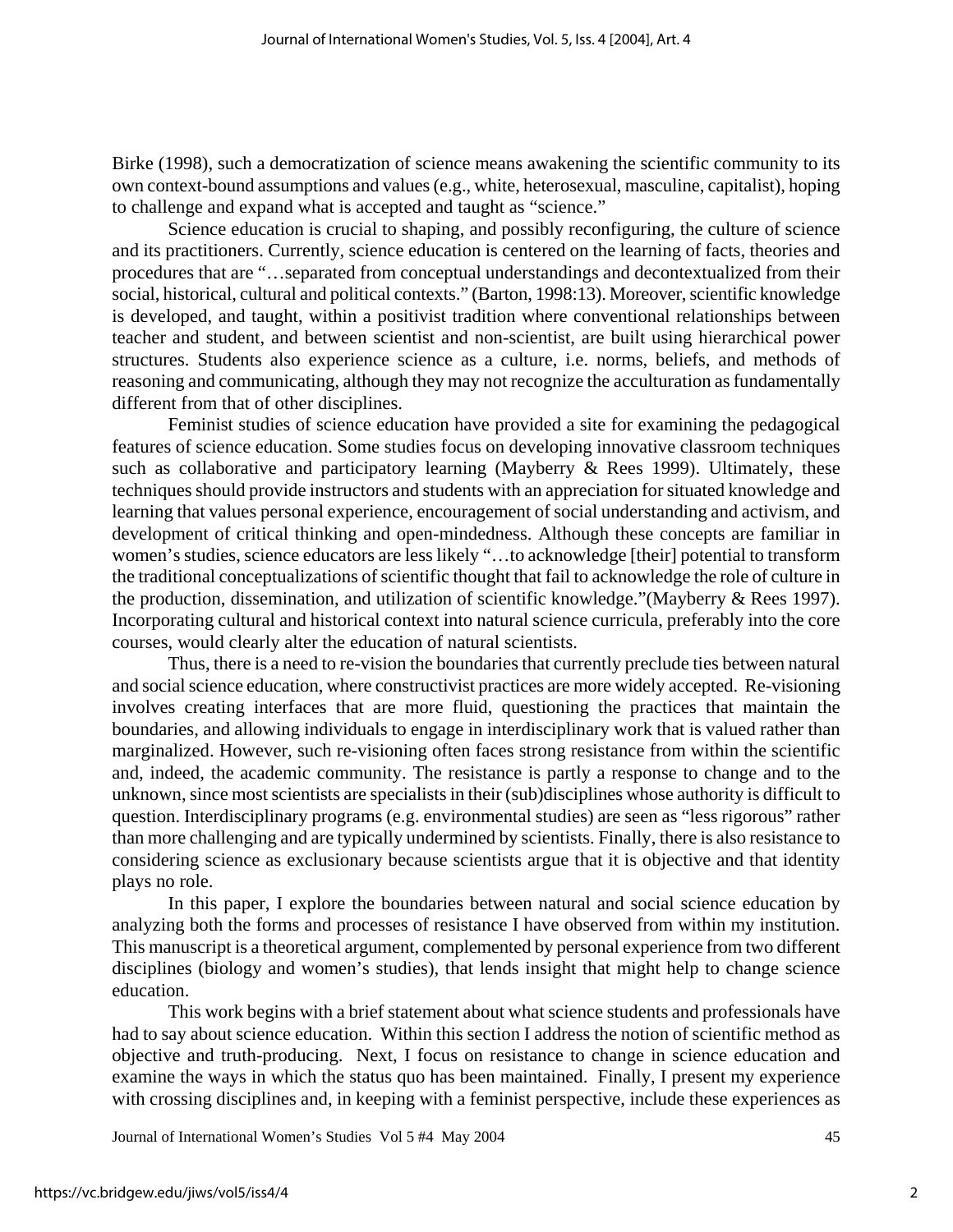Birke (1998), such a democratization of science means awakening the scientific community to its own context-bound assumptions and values (e.g., white, heterosexual, masculine, capitalist), hoping to challenge and expand what is accepted and taught as "science."

Science education is crucial to shaping, and possibly reconfiguring, the culture of science and its practitioners. Currently, science education is centered on the learning of facts, theories and procedures that are "…separated from conceptual understandings and decontextualized from their social, historical, cultural and political contexts." (Barton, 1998:13). Moreover, scientific knowledge is developed, and taught, within a positivist tradition where conventional relationships between teacher and student, and between scientist and non-scientist, are built using hierarchical power structures. Students also experience science as a culture, i.e. norms, beliefs, and methods of reasoning and communicating, although they may not recognize the acculturation as fundamentally different from that of other disciplines.

Feminist studies of science education have provided a site for examining the pedagogical features of science education. Some studies focus on developing innovative classroom techniques such as collaborative and participatory learning (Mayberry & Rees 1999). Ultimately, these techniques should provide instructors and students with an appreciation for situated knowledge and learning that values personal experience, encouragement of social understanding and activism, and development of critical thinking and open-mindedness. Although these concepts are familiar in women's studies, science educators are less likely "…to acknowledge [their] potential to transform the traditional conceptualizations of scientific thought that fail to acknowledge the role of culture in the production, dissemination, and utilization of scientific knowledge."(Mayberry & Rees 1997). Incorporating cultural and historical context into natural science curricula, preferably into the core courses, would clearly alter the education of natural scientists.

Thus, there is a need to re-vision the boundaries that currently preclude ties between natural and social science education, where constructivist practices are more widely accepted. Re-visioning involves creating interfaces that are more fluid, questioning the practices that maintain the boundaries, and allowing individuals to engage in interdisciplinary work that is valued rather than marginalized. However, such re-visioning often faces strong resistance from within the scientific and, indeed, the academic community. The resistance is partly a response to change and to the unknown, since most scientists are specialists in their (sub)disciplines whose authority is difficult to question. Interdisciplinary programs (e.g. environmental studies) are seen as "less rigorous" rather than more challenging and are typically undermined by scientists. Finally, there is also resistance to considering science as exclusionary because scientists argue that it is objective and that identity plays no role.

In this paper, I explore the boundaries between natural and social science education by analyzing both the forms and processes of resistance I have observed from within my institution. This manuscript is a theoretical argument, complemented by personal experience from two different disciplines (biology and women's studies), that lends insight that might help to change science education.

This work begins with a brief statement about what science students and professionals have had to say about science education. Within this section I address the notion of scientific method as objective and truth-producing. Next, I focus on resistance to change in science education and examine the ways in which the status quo has been maintained. Finally, I present my experience with crossing disciplines and, in keeping with a feminist perspective, include these experiences as

Journal of International Women's Studies Vol 5 #4 May 2004 45

2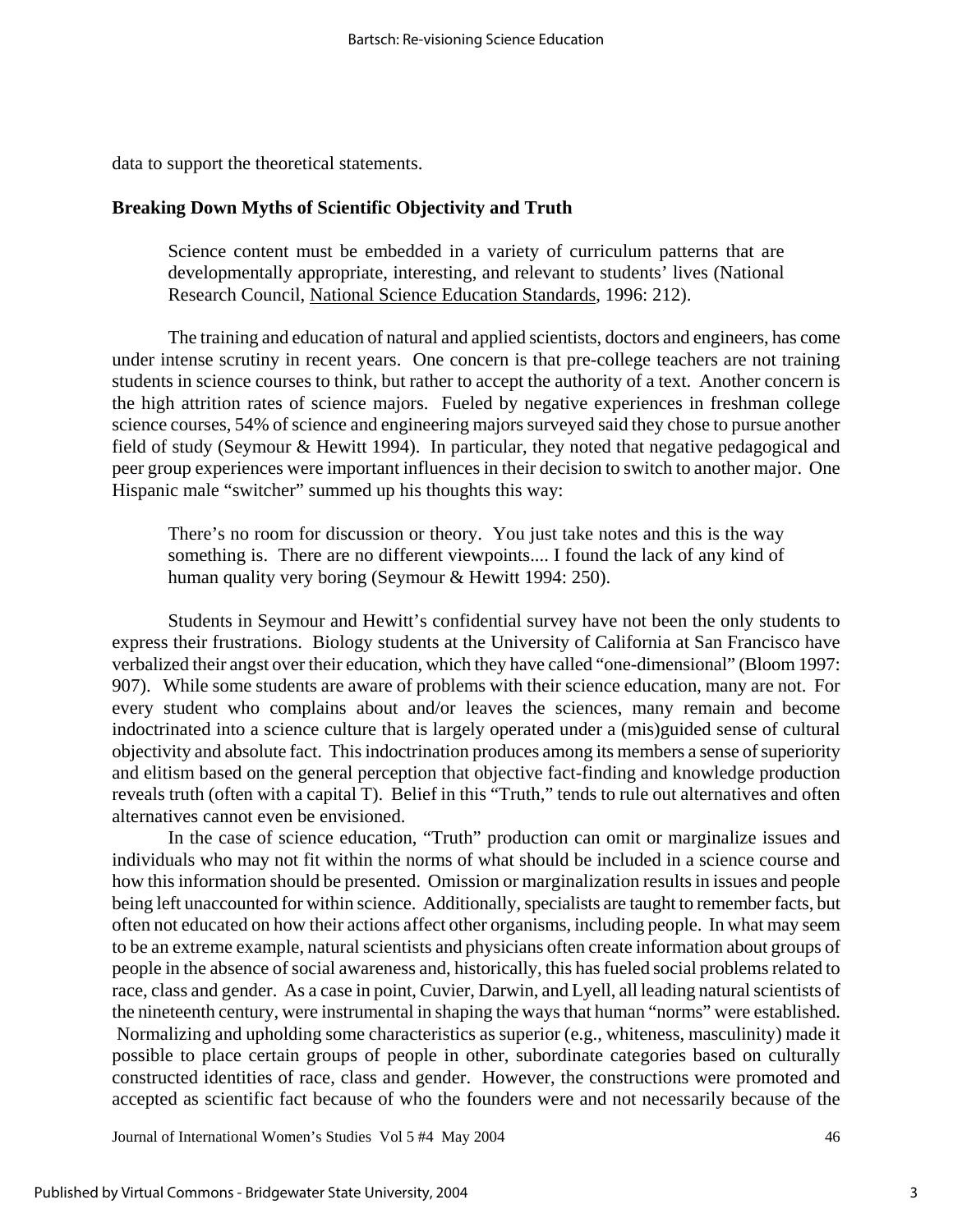data to support the theoretical statements.

#### **Breaking Down Myths of Scientific Objectivity and Truth**

Science content must be embedded in a variety of curriculum patterns that are developmentally appropriate, interesting, and relevant to students' lives (National Research Council, National Science Education Standards, 1996: 212).

The training and education of natural and applied scientists, doctors and engineers, has come under intense scrutiny in recent years. One concern is that pre-college teachers are not training students in science courses to think, but rather to accept the authority of a text. Another concern is the high attrition rates of science majors. Fueled by negative experiences in freshman college science courses, 54% of science and engineering majors surveyed said they chose to pursue another field of study (Seymour & Hewitt 1994). In particular, they noted that negative pedagogical and peer group experiences were important influences in their decision to switch to another major. One Hispanic male "switcher" summed up his thoughts this way:

There's no room for discussion or theory. You just take notes and this is the way something is. There are no different viewpoints.... I found the lack of any kind of human quality very boring (Seymour & Hewitt 1994: 250).

Students in Seymour and Hewitt's confidential survey have not been the only students to express their frustrations. Biology students at the University of California at San Francisco have verbalized their angst over their education, which they have called "one-dimensional" (Bloom 1997: 907). While some students are aware of problems with their science education, many are not. For every student who complains about and/or leaves the sciences, many remain and become indoctrinated into a science culture that is largely operated under a (mis)guided sense of cultural objectivity and absolute fact. This indoctrination produces among its members a sense of superiority and elitism based on the general perception that objective fact-finding and knowledge production reveals truth (often with a capital T). Belief in this "Truth," tends to rule out alternatives and often alternatives cannot even be envisioned.

In the case of science education, "Truth" production can omit or marginalize issues and individuals who may not fit within the norms of what should be included in a science course and how this information should be presented. Omission or marginalization results in issues and people being left unaccounted for within science. Additionally, specialists are taught to remember facts, but often not educated on how their actions affect other organisms, including people. In what may seem to be an extreme example, natural scientists and physicians often create information about groups of people in the absence of social awareness and, historically, this has fueled social problems related to race, class and gender. As a case in point, Cuvier, Darwin, and Lyell, all leading natural scientists of the nineteenth century, were instrumental in shaping the ways that human "norms" were established. Normalizing and upholding some characteristics as superior (e.g., whiteness, masculinity) made it possible to place certain groups of people in other, subordinate categories based on culturally constructed identities of race, class and gender. However, the constructions were promoted and accepted as scientific fact because of who the founders were and not necessarily because of the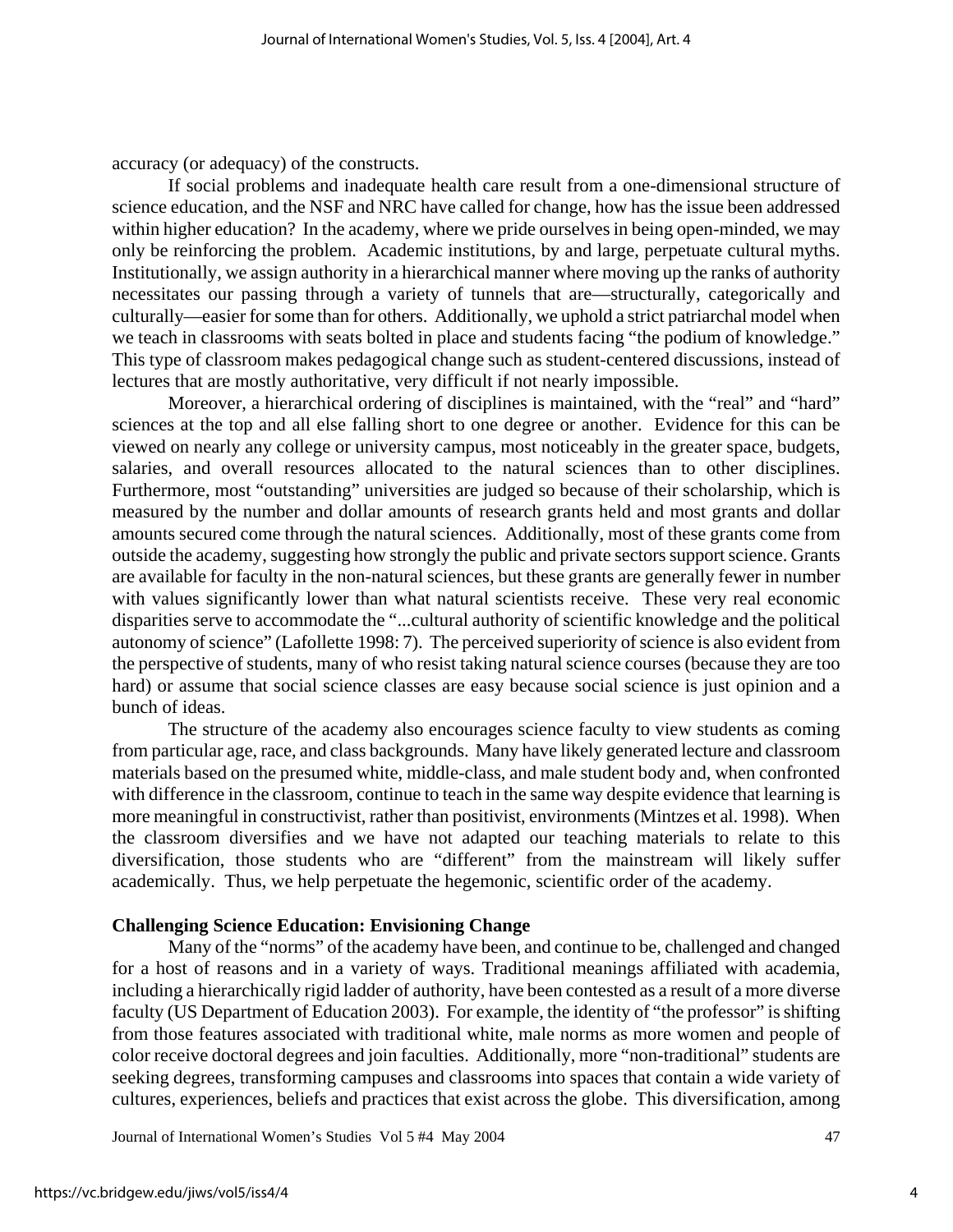accuracy (or adequacy) of the constructs.

If social problems and inadequate health care result from a one-dimensional structure of science education, and the NSF and NRC have called for change, how has the issue been addressed within higher education? In the academy, where we pride ourselves in being open-minded, we may only be reinforcing the problem. Academic institutions, by and large, perpetuate cultural myths. Institutionally, we assign authority in a hierarchical manner where moving up the ranks of authority necessitates our passing through a variety of tunnels that are—structurally, categorically and culturally—easier for some than for others. Additionally, we uphold a strict patriarchal model when we teach in classrooms with seats bolted in place and students facing "the podium of knowledge." This type of classroom makes pedagogical change such as student-centered discussions, instead of lectures that are mostly authoritative, very difficult if not nearly impossible.

Moreover, a hierarchical ordering of disciplines is maintained, with the "real" and "hard" sciences at the top and all else falling short to one degree or another. Evidence for this can be viewed on nearly any college or university campus, most noticeably in the greater space, budgets, salaries, and overall resources allocated to the natural sciences than to other disciplines. Furthermore, most "outstanding" universities are judged so because of their scholarship, which is measured by the number and dollar amounts of research grants held and most grants and dollar amounts secured come through the natural sciences. Additionally, most of these grants come from outside the academy, suggesting how strongly the public and private sectors support science. Grants are available for faculty in the non-natural sciences, but these grants are generally fewer in number with values significantly lower than what natural scientists receive. These very real economic disparities serve to accommodate the "...cultural authority of scientific knowledge and the political autonomy of science" (Lafollette 1998: 7). The perceived superiority of science is also evident from the perspective of students, many of who resist taking natural science courses (because they are too hard) or assume that social science classes are easy because social science is just opinion and a bunch of ideas.

The structure of the academy also encourages science faculty to view students as coming from particular age, race, and class backgrounds. Many have likely generated lecture and classroom materials based on the presumed white, middle-class, and male student body and, when confronted with difference in the classroom, continue to teach in the same way despite evidence that learning is more meaningful in constructivist, rather than positivist, environments (Mintzes et al. 1998). When the classroom diversifies and we have not adapted our teaching materials to relate to this diversification, those students who are "different" from the mainstream will likely suffer academically. Thus, we help perpetuate the hegemonic, scientific order of the academy.

#### **Challenging Science Education: Envisioning Change**

Many of the "norms" of the academy have been, and continue to be, challenged and changed for a host of reasons and in a variety of ways. Traditional meanings affiliated with academia, including a hierarchically rigid ladder of authority, have been contested as a result of a more diverse faculty (US Department of Education 2003). For example, the identity of "the professor" is shifting from those features associated with traditional white, male norms as more women and people of color receive doctoral degrees and join faculties. Additionally, more "non-traditional" students are seeking degrees, transforming campuses and classrooms into spaces that contain a wide variety of cultures, experiences, beliefs and practices that exist across the globe. This diversification, among

Journal of International Women's Studies Vol 5 #4 May 2004 47

4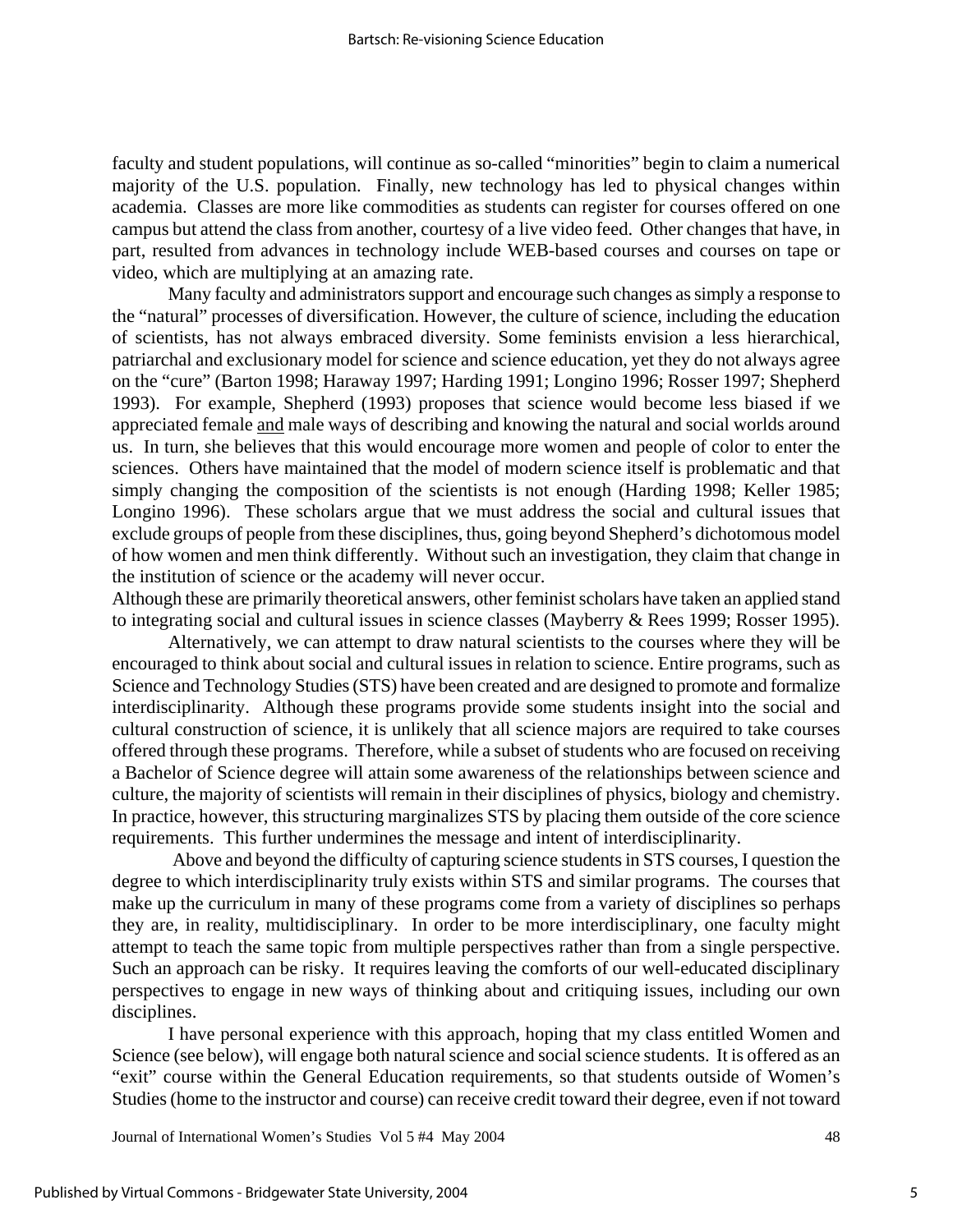faculty and student populations, will continue as so-called "minorities" begin to claim a numerical majority of the U.S. population. Finally, new technology has led to physical changes within academia. Classes are more like commodities as students can register for courses offered on one campus but attend the class from another, courtesy of a live video feed. Other changes that have, in part, resulted from advances in technology include WEB-based courses and courses on tape or video, which are multiplying at an amazing rate.

Many faculty and administrators support and encourage such changes as simply a response to the "natural" processes of diversification. However, the culture of science, including the education of scientists, has not always embraced diversity. Some feminists envision a less hierarchical, patriarchal and exclusionary model for science and science education, yet they do not always agree on the "cure" (Barton 1998; Haraway 1997; Harding 1991; Longino 1996; Rosser 1997; Shepherd 1993). For example, Shepherd (1993) proposes that science would become less biased if we appreciated female and male ways of describing and knowing the natural and social worlds around us. In turn, she believes that this would encourage more women and people of color to enter the sciences. Others have maintained that the model of modern science itself is problematic and that simply changing the composition of the scientists is not enough (Harding 1998; Keller 1985; Longino 1996). These scholars argue that we must address the social and cultural issues that exclude groups of people from these disciplines, thus, going beyond Shepherd's dichotomous model of how women and men think differently. Without such an investigation, they claim that change in the institution of science or the academy will never occur.

Although these are primarily theoretical answers, other feminist scholars have taken an applied stand to integrating social and cultural issues in science classes (Mayberry & Rees 1999; Rosser 1995).

Alternatively, we can attempt to draw natural scientists to the courses where they will be encouraged to think about social and cultural issues in relation to science. Entire programs, such as Science and Technology Studies (STS) have been created and are designed to promote and formalize interdisciplinarity. Although these programs provide some students insight into the social and cultural construction of science, it is unlikely that all science majors are required to take courses offered through these programs. Therefore, while a subset of students who are focused on receiving a Bachelor of Science degree will attain some awareness of the relationships between science and culture, the majority of scientists will remain in their disciplines of physics, biology and chemistry. In practice, however, this structuring marginalizes STS by placing them outside of the core science requirements. This further undermines the message and intent of interdisciplinarity.

 Above and beyond the difficulty of capturing science students in STS courses, I question the degree to which interdisciplinarity truly exists within STS and similar programs. The courses that make up the curriculum in many of these programs come from a variety of disciplines so perhaps they are, in reality, multidisciplinary. In order to be more interdisciplinary, one faculty might attempt to teach the same topic from multiple perspectives rather than from a single perspective. Such an approach can be risky. It requires leaving the comforts of our well-educated disciplinary perspectives to engage in new ways of thinking about and critiquing issues, including our own disciplines.

I have personal experience with this approach, hoping that my class entitled Women and Science (see below), will engage both natural science and social science students. It is offered as an "exit" course within the General Education requirements, so that students outside of Women's Studies (home to the instructor and course) can receive credit toward their degree, even if not toward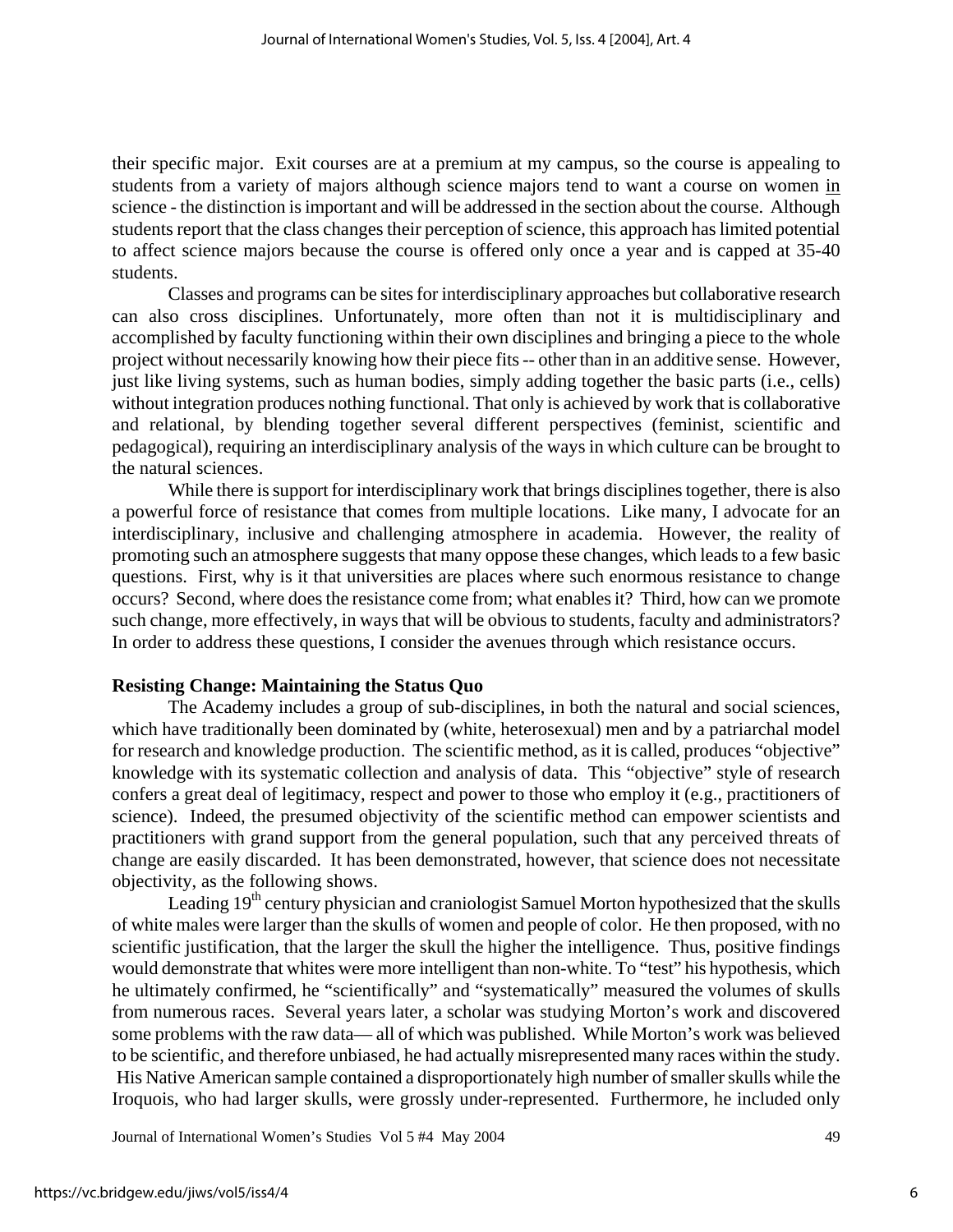their specific major. Exit courses are at a premium at my campus, so the course is appealing to students from a variety of majors although science majors tend to want a course on women in science - the distinction is important and will be addressed in the section about the course. Although students report that the class changes their perception of science, this approach has limited potential to affect science majors because the course is offered only once a year and is capped at 35-40 students.

Classes and programs can be sites for interdisciplinary approaches but collaborative research can also cross disciplines. Unfortunately, more often than not it is multidisciplinary and accomplished by faculty functioning within their own disciplines and bringing a piece to the whole project without necessarily knowing how their piece fits -- other than in an additive sense. However, just like living systems, such as human bodies, simply adding together the basic parts (i.e., cells) without integration produces nothing functional. That only is achieved by work that is collaborative and relational, by blending together several different perspectives (feminist, scientific and pedagogical), requiring an interdisciplinary analysis of the ways in which culture can be brought to the natural sciences.

While there is support for interdisciplinary work that brings disciplines together, there is also a powerful force of resistance that comes from multiple locations. Like many, I advocate for an interdisciplinary, inclusive and challenging atmosphere in academia. However, the reality of promoting such an atmosphere suggests that many oppose these changes, which leads to a few basic questions. First, why is it that universities are places where such enormous resistance to change occurs? Second, where does the resistance come from; what enables it? Third, how can we promote such change, more effectively, in ways that will be obvious to students, faculty and administrators? In order to address these questions, I consider the avenues through which resistance occurs.

## **Resisting Change: Maintaining the Status Quo**

The Academy includes a group of sub-disciplines, in both the natural and social sciences, which have traditionally been dominated by (white, heterosexual) men and by a patriarchal model for research and knowledge production. The scientific method, as it is called, produces "objective" knowledge with its systematic collection and analysis of data. This "objective" style of research confers a great deal of legitimacy, respect and power to those who employ it (e.g., practitioners of science). Indeed, the presumed objectivity of the scientific method can empower scientists and practitioners with grand support from the general population, such that any perceived threats of change are easily discarded. It has been demonstrated, however, that science does not necessitate objectivity, as the following shows.

Leading 19<sup>th</sup> century physician and craniologist Samuel Morton hypothesized that the skulls of white males were larger than the skulls of women and people of color. He then proposed, with no scientific justification, that the larger the skull the higher the intelligence. Thus, positive findings would demonstrate that whites were more intelligent than non-white. To "test" his hypothesis, which he ultimately confirmed, he "scientifically" and "systematically" measured the volumes of skulls from numerous races. Several years later, a scholar was studying Morton's work and discovered some problems with the raw data— all of which was published. While Morton's work was believed to be scientific, and therefore unbiased, he had actually misrepresented many races within the study. His Native American sample contained a disproportionately high number of smaller skulls while the Iroquois, who had larger skulls, were grossly under-represented. Furthermore, he included only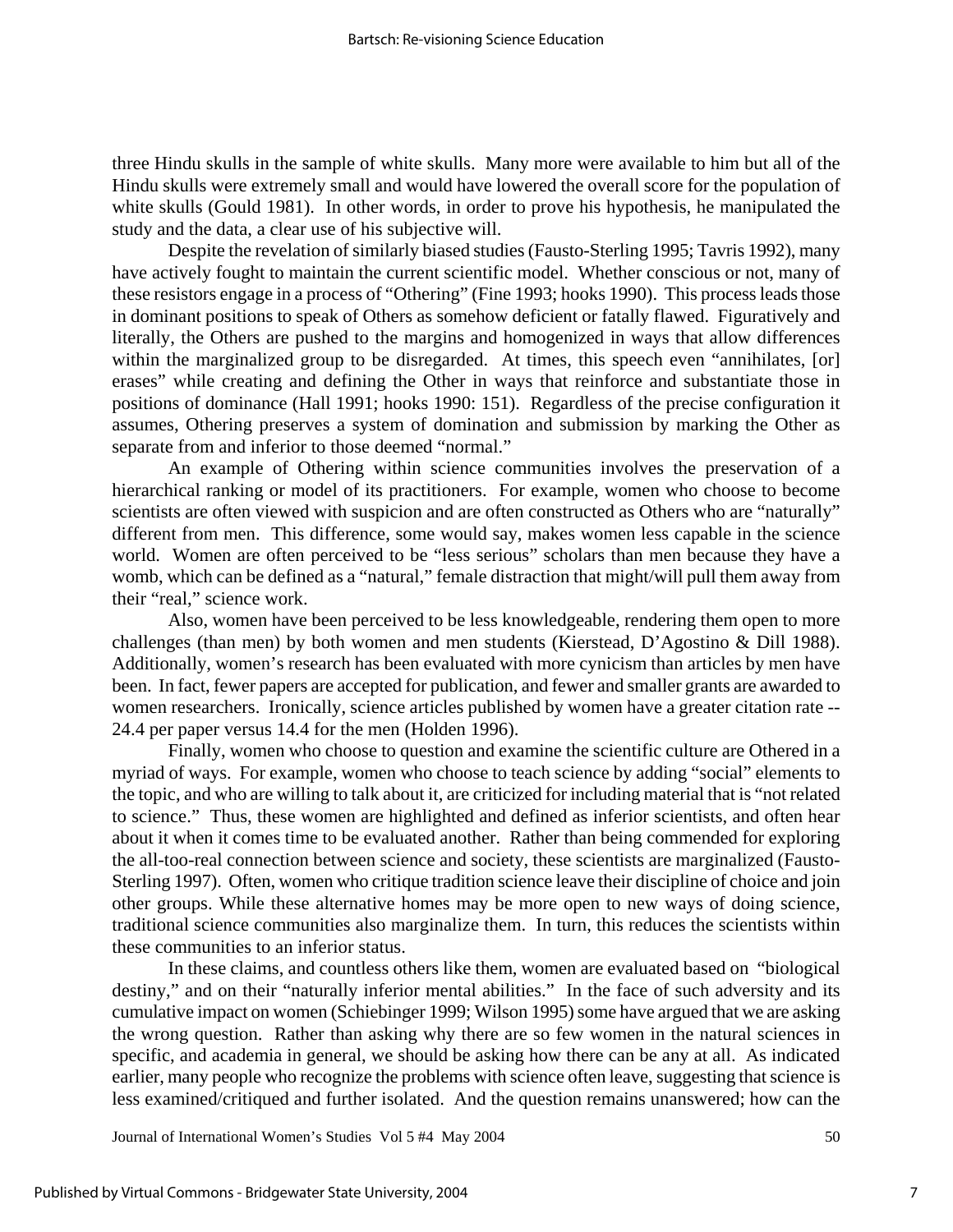three Hindu skulls in the sample of white skulls. Many more were available to him but all of the Hindu skulls were extremely small and would have lowered the overall score for the population of white skulls (Gould 1981). In other words, in order to prove his hypothesis, he manipulated the study and the data, a clear use of his subjective will.

Despite the revelation of similarly biased studies (Fausto-Sterling 1995; Tavris 1992), many have actively fought to maintain the current scientific model. Whether conscious or not, many of these resistors engage in a process of "Othering" (Fine 1993; hooks 1990). This process leads those in dominant positions to speak of Others as somehow deficient or fatally flawed. Figuratively and literally, the Others are pushed to the margins and homogenized in ways that allow differences within the marginalized group to be disregarded. At times, this speech even "annihilates, [or] erases" while creating and defining the Other in ways that reinforce and substantiate those in positions of dominance (Hall 1991; hooks 1990: 151). Regardless of the precise configuration it assumes, Othering preserves a system of domination and submission by marking the Other as separate from and inferior to those deemed "normal."

An example of Othering within science communities involves the preservation of a hierarchical ranking or model of its practitioners. For example, women who choose to become scientists are often viewed with suspicion and are often constructed as Others who are "naturally" different from men. This difference, some would say, makes women less capable in the science world. Women are often perceived to be "less serious" scholars than men because they have a womb, which can be defined as a "natural," female distraction that might/will pull them away from their "real," science work.

Also, women have been perceived to be less knowledgeable, rendering them open to more challenges (than men) by both women and men students (Kierstead, D'Agostino & Dill 1988). Additionally, women's research has been evaluated with more cynicism than articles by men have been. In fact, fewer papers are accepted for publication, and fewer and smaller grants are awarded to women researchers. Ironically, science articles published by women have a greater citation rate -- 24.4 per paper versus 14.4 for the men (Holden 1996).

Finally, women who choose to question and examine the scientific culture are Othered in a myriad of ways. For example, women who choose to teach science by adding "social" elements to the topic, and who are willing to talk about it, are criticized for including material that is "not related to science." Thus, these women are highlighted and defined as inferior scientists, and often hear about it when it comes time to be evaluated another. Rather than being commended for exploring the all-too-real connection between science and society, these scientists are marginalized (Fausto-Sterling 1997). Often, women who critique tradition science leave their discipline of choice and join other groups. While these alternative homes may be more open to new ways of doing science, traditional science communities also marginalize them. In turn, this reduces the scientists within these communities to an inferior status.

In these claims, and countless others like them, women are evaluated based on "biological destiny," and on their "naturally inferior mental abilities." In the face of such adversity and its cumulative impact on women (Schiebinger 1999; Wilson 1995) some have argued that we are asking the wrong question. Rather than asking why there are so few women in the natural sciences in specific, and academia in general, we should be asking how there can be any at all. As indicated earlier, many people who recognize the problems with science often leave, suggesting that science is less examined/critiqued and further isolated. And the question remains unanswered; how can the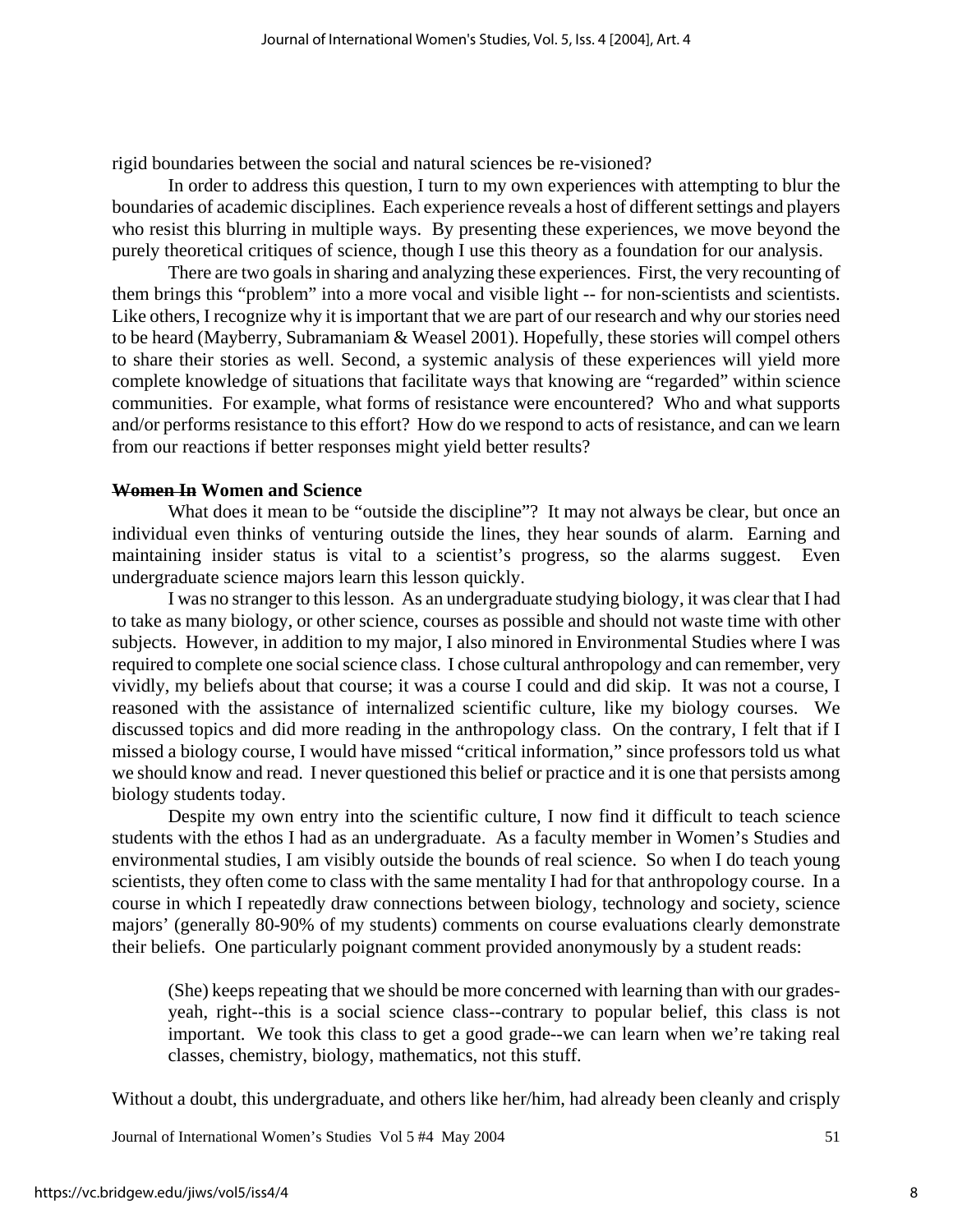rigid boundaries between the social and natural sciences be re-visioned?

In order to address this question, I turn to my own experiences with attempting to blur the boundaries of academic disciplines. Each experience reveals a host of different settings and players who resist this blurring in multiple ways. By presenting these experiences, we move beyond the purely theoretical critiques of science, though I use this theory as a foundation for our analysis.

There are two goals in sharing and analyzing these experiences. First, the very recounting of them brings this "problem" into a more vocal and visible light -- for non-scientists and scientists. Like others, I recognize why it is important that we are part of our research and why our stories need to be heard (Mayberry, Subramaniam & Weasel 2001). Hopefully, these stories will compel others to share their stories as well. Second, a systemic analysis of these experiences will yield more complete knowledge of situations that facilitate ways that knowing are "regarded" within science communities. For example, what forms of resistance were encountered? Who and what supports and/or performs resistance to this effort? How do we respond to acts of resistance, and can we learn from our reactions if better responses might yield better results?

#### **Women In Women and Science**

What does it mean to be "outside the discipline"? It may not always be clear, but once an individual even thinks of venturing outside the lines, they hear sounds of alarm. Earning and maintaining insider status is vital to a scientist's progress, so the alarms suggest. Even undergraduate science majors learn this lesson quickly.

I was no stranger to this lesson. As an undergraduate studying biology, it was clear that I had to take as many biology, or other science, courses as possible and should not waste time with other subjects. However, in addition to my major, I also minored in Environmental Studies where I was required to complete one social science class. I chose cultural anthropology and can remember, very vividly, my beliefs about that course; it was a course I could and did skip. It was not a course, I reasoned with the assistance of internalized scientific culture, like my biology courses. We discussed topics and did more reading in the anthropology class. On the contrary, I felt that if I missed a biology course, I would have missed "critical information," since professors told us what we should know and read. I never questioned this belief or practice and it is one that persists among biology students today.

Despite my own entry into the scientific culture, I now find it difficult to teach science students with the ethos I had as an undergraduate. As a faculty member in Women's Studies and environmental studies, I am visibly outside the bounds of real science. So when I do teach young scientists, they often come to class with the same mentality I had for that anthropology course. In a course in which I repeatedly draw connections between biology, technology and society, science majors' (generally 80-90% of my students) comments on course evaluations clearly demonstrate their beliefs. One particularly poignant comment provided anonymously by a student reads:

(She) keeps repeating that we should be more concerned with learning than with our gradesyeah, right--this is a social science class--contrary to popular belief, this class is not important. We took this class to get a good grade--we can learn when we're taking real classes, chemistry, biology, mathematics, not this stuff.

Without a doubt, this undergraduate, and others like her/him, had already been cleanly and crisply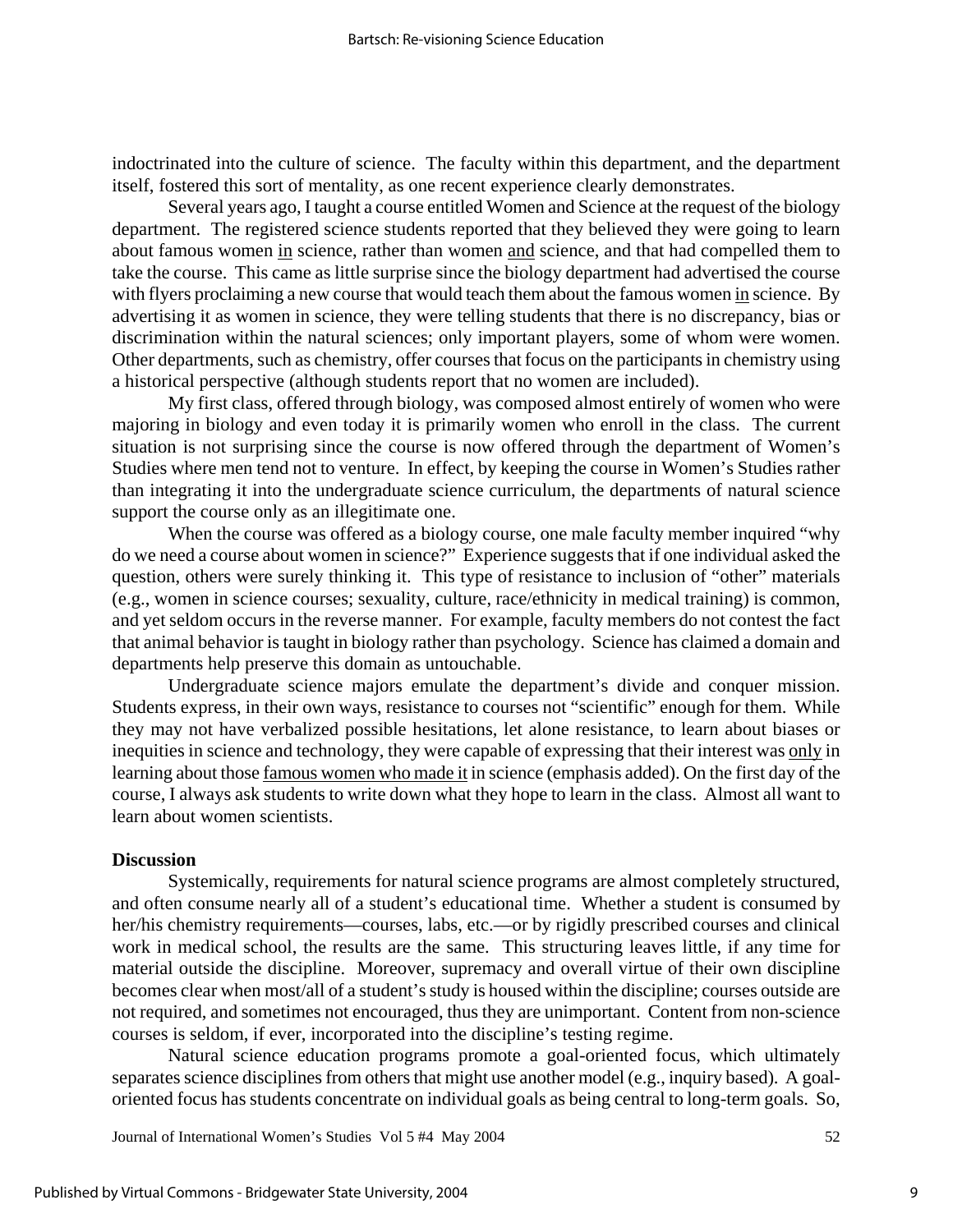indoctrinated into the culture of science. The faculty within this department, and the department itself, fostered this sort of mentality, as one recent experience clearly demonstrates.

Several years ago, I taught a course entitled Women and Science at the request of the biology department. The registered science students reported that they believed they were going to learn about famous women in science, rather than women and science, and that had compelled them to take the course. This came as little surprise since the biology department had advertised the course with flyers proclaiming a new course that would teach them about the famous women in science. By advertising it as women in science, they were telling students that there is no discrepancy, bias or discrimination within the natural sciences; only important players, some of whom were women. Other departments, such as chemistry, offer courses that focus on the participants in chemistry using a historical perspective (although students report that no women are included).

My first class, offered through biology, was composed almost entirely of women who were majoring in biology and even today it is primarily women who enroll in the class. The current situation is not surprising since the course is now offered through the department of Women's Studies where men tend not to venture. In effect, by keeping the course in Women's Studies rather than integrating it into the undergraduate science curriculum, the departments of natural science support the course only as an illegitimate one.

When the course was offered as a biology course, one male faculty member inquired "why do we need a course about women in science?" Experience suggests that if one individual asked the question, others were surely thinking it. This type of resistance to inclusion of "other" materials (e.g., women in science courses; sexuality, culture, race/ethnicity in medical training) is common, and yet seldom occurs in the reverse manner. For example, faculty members do not contest the fact that animal behavior is taught in biology rather than psychology. Science has claimed a domain and departments help preserve this domain as untouchable.

Undergraduate science majors emulate the department's divide and conquer mission. Students express, in their own ways, resistance to courses not "scientific" enough for them. While they may not have verbalized possible hesitations, let alone resistance, to learn about biases or inequities in science and technology, they were capable of expressing that their interest was only in learning about those famous women who made it in science (emphasis added). On the first day of the course, I always ask students to write down what they hope to learn in the class. Almost all want to learn about women scientists.

#### **Discussion**

Systemically, requirements for natural science programs are almost completely structured, and often consume nearly all of a student's educational time. Whether a student is consumed by her/his chemistry requirements—courses, labs, etc.—or by rigidly prescribed courses and clinical work in medical school, the results are the same. This structuring leaves little, if any time for material outside the discipline. Moreover, supremacy and overall virtue of their own discipline becomes clear when most/all of a student's study is housed within the discipline; courses outside are not required, and sometimes not encouraged, thus they are unimportant. Content from non-science courses is seldom, if ever, incorporated into the discipline's testing regime.

Natural science education programs promote a goal-oriented focus, which ultimately separates science disciplines from others that might use another model (e.g., inquiry based). A goaloriented focus has students concentrate on individual goals as being central to long-term goals. So,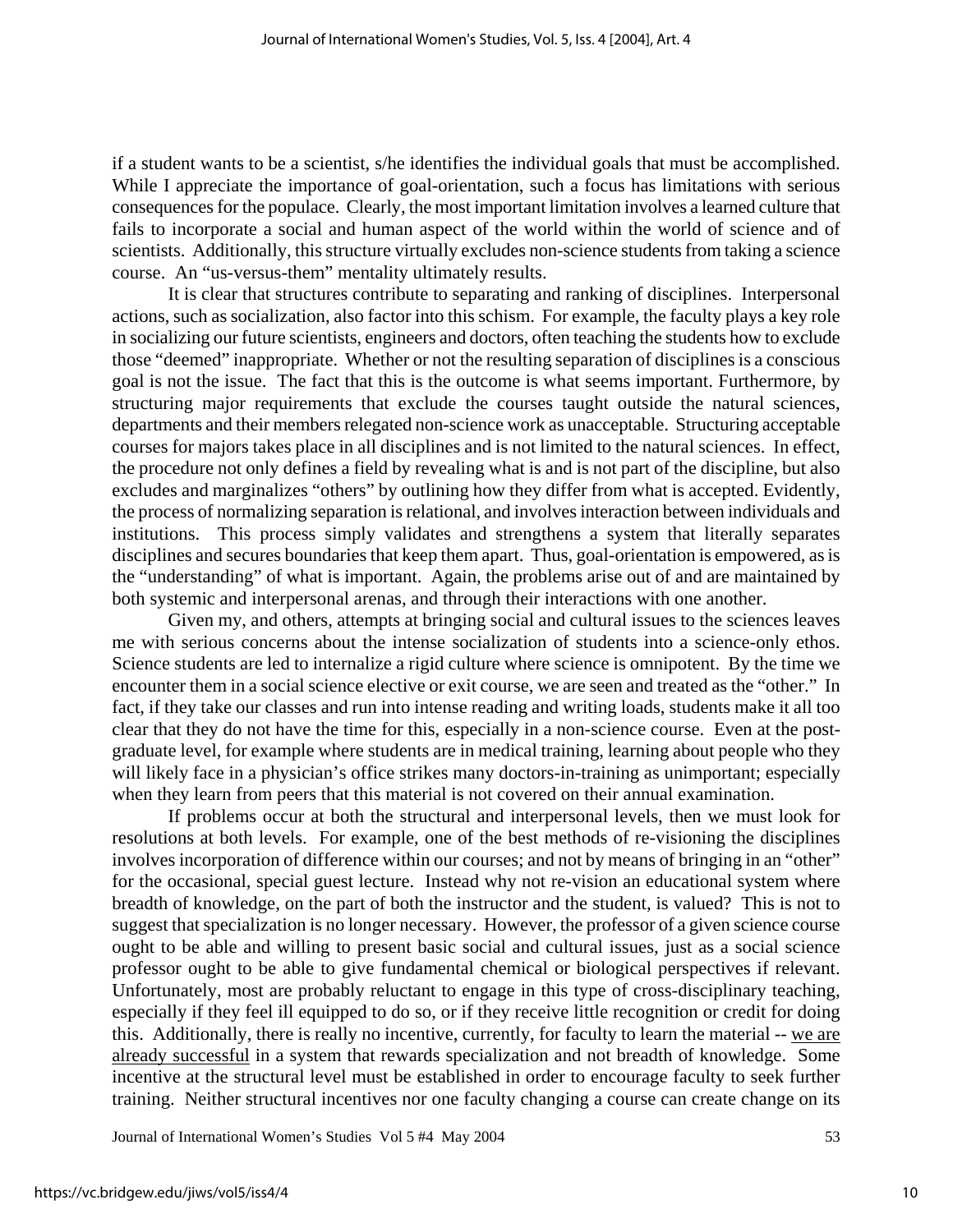if a student wants to be a scientist, s/he identifies the individual goals that must be accomplished. While I appreciate the importance of goal-orientation, such a focus has limitations with serious consequences for the populace. Clearly, the most important limitation involves a learned culture that fails to incorporate a social and human aspect of the world within the world of science and of scientists. Additionally, this structure virtually excludes non-science students from taking a science course. An "us-versus-them" mentality ultimately results.

It is clear that structures contribute to separating and ranking of disciplines. Interpersonal actions, such as socialization, also factor into this schism. For example, the faculty plays a key role in socializing our future scientists, engineers and doctors, often teaching the students how to exclude those "deemed" inappropriate. Whether or not the resulting separation of disciplines is a conscious goal is not the issue. The fact that this is the outcome is what seems important. Furthermore, by structuring major requirements that exclude the courses taught outside the natural sciences, departments and their members relegated non-science work as unacceptable. Structuring acceptable courses for majors takes place in all disciplines and is not limited to the natural sciences. In effect, the procedure not only defines a field by revealing what is and is not part of the discipline, but also excludes and marginalizes "others" by outlining how they differ from what is accepted. Evidently, the process of normalizing separation is relational, and involves interaction between individuals and institutions. This process simply validates and strengthens a system that literally separates disciplines and secures boundaries that keep them apart. Thus, goal-orientation is empowered, as is the "understanding" of what is important. Again, the problems arise out of and are maintained by both systemic and interpersonal arenas, and through their interactions with one another.

Given my, and others, attempts at bringing social and cultural issues to the sciences leaves me with serious concerns about the intense socialization of students into a science-only ethos. Science students are led to internalize a rigid culture where science is omnipotent. By the time we encounter them in a social science elective or exit course, we are seen and treated as the "other." In fact, if they take our classes and run into intense reading and writing loads, students make it all too clear that they do not have the time for this, especially in a non-science course. Even at the postgraduate level, for example where students are in medical training, learning about people who they will likely face in a physician's office strikes many doctors-in-training as unimportant; especially when they learn from peers that this material is not covered on their annual examination.

If problems occur at both the structural and interpersonal levels, then we must look for resolutions at both levels. For example, one of the best methods of re-visioning the disciplines involves incorporation of difference within our courses; and not by means of bringing in an "other" for the occasional, special guest lecture. Instead why not re-vision an educational system where breadth of knowledge, on the part of both the instructor and the student, is valued? This is not to suggest that specialization is no longer necessary. However, the professor of a given science course ought to be able and willing to present basic social and cultural issues, just as a social science professor ought to be able to give fundamental chemical or biological perspectives if relevant. Unfortunately, most are probably reluctant to engage in this type of cross-disciplinary teaching, especially if they feel ill equipped to do so, or if they receive little recognition or credit for doing this. Additionally, there is really no incentive, currently, for faculty to learn the material -- we are already successful in a system that rewards specialization and not breadth of knowledge. Some incentive at the structural level must be established in order to encourage faculty to seek further training. Neither structural incentives nor one faculty changing a course can create change on its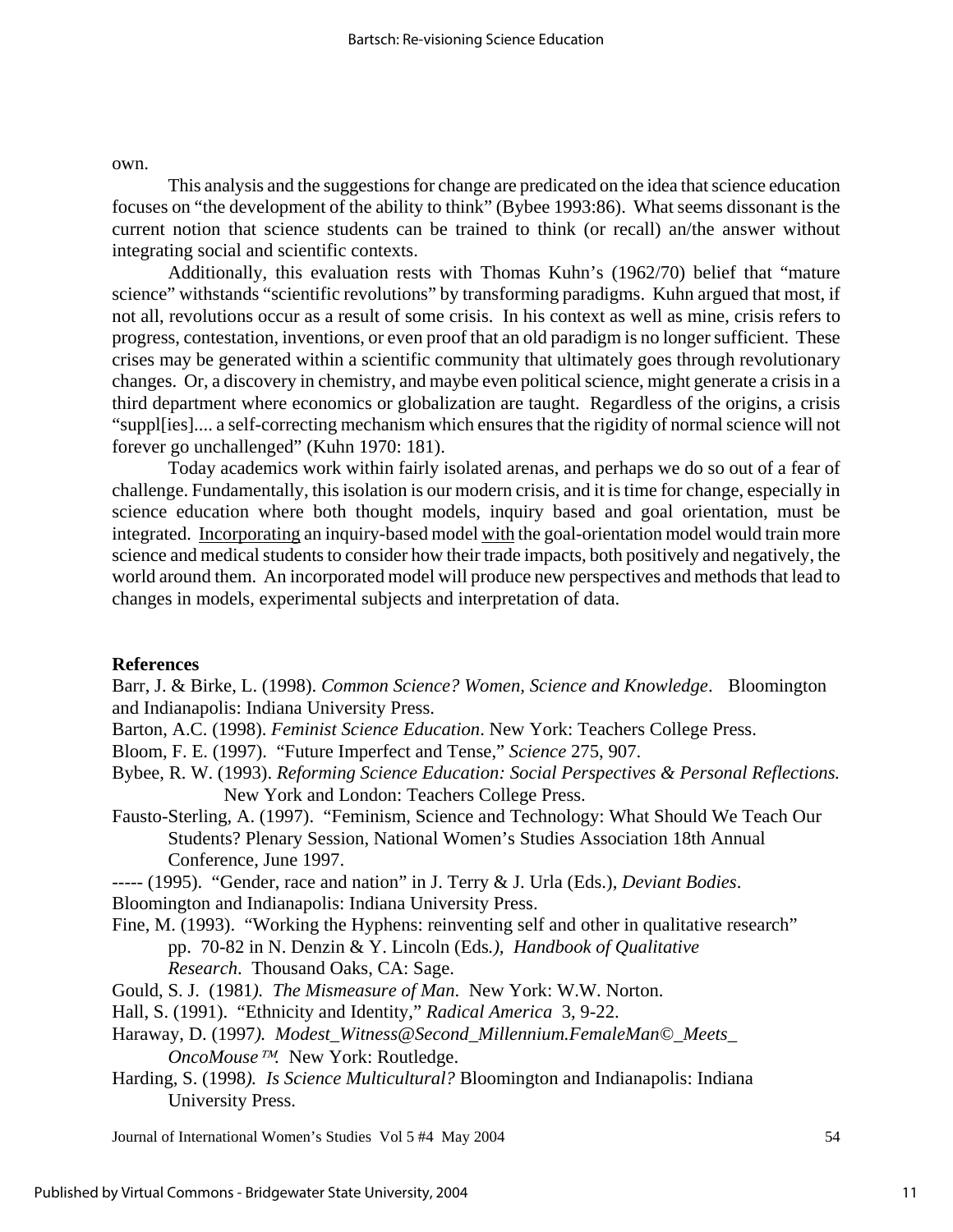own.

This analysis and the suggestions for change are predicated on the idea that science education focuses on "the development of the ability to think" (Bybee 1993:86). What seems dissonant is the current notion that science students can be trained to think (or recall) an/the answer without integrating social and scientific contexts.

Additionally, this evaluation rests with Thomas Kuhn's (1962/70) belief that "mature science" withstands "scientific revolutions" by transforming paradigms. Kuhn argued that most, if not all, revolutions occur as a result of some crisis. In his context as well as mine, crisis refers to progress, contestation, inventions, or even proof that an old paradigm is no longer sufficient. These crises may be generated within a scientific community that ultimately goes through revolutionary changes. Or, a discovery in chemistry, and maybe even political science, might generate a crisis in a third department where economics or globalization are taught. Regardless of the origins, a crisis "suppl[ies].... a self-correcting mechanism which ensures that the rigidity of normal science will not forever go unchallenged" (Kuhn 1970: 181).

Today academics work within fairly isolated arenas, and perhaps we do so out of a fear of challenge. Fundamentally, this isolation is our modern crisis, and it is time for change, especially in science education where both thought models, inquiry based and goal orientation, must be integrated. Incorporating an inquiry-based model with the goal-orientation model would train more science and medical students to consider how their trade impacts, both positively and negatively, the world around them. An incorporated model will produce new perspectives and methods that lead to changes in models, experimental subjects and interpretation of data.

## **References**

Barr, J. & Birke, L. (1998). *Common Science? Women, Science and Knowledge*. Bloomington and Indianapolis: Indiana University Press.

- Barton, A.C. (1998). *Feminist Science Education*. New York: Teachers College Press.
- Bloom, F. E. (1997). "Future Imperfect and Tense," *Science* 275, 907.
- Bybee, R. W. (1993). *Reforming Science Education: Social Perspectives & Personal Reflections.* New York and London: Teachers College Press.
- Fausto-Sterling, A. (1997). "Feminism, Science and Technology: What Should We Teach Our Students? Plenary Session, National Women's Studies Association 18th Annual Conference, June 1997.

----- (1995). "Gender, race and nation" in J. Terry & J. Urla (Eds.), *Deviant Bodies*. Bloomington and Indianapolis: Indiana University Press.

Fine, M. (1993). "Working the Hyphens: reinventing self and other in qualitative research" pp. 70-82 in N. Denzin & Y. Lincoln (Eds*.), Handbook of Qualitative Research*. Thousand Oaks, CA: Sage.

- Gould, S. J. (1981*). The Mismeasure of Man*. New York: W.W. Norton.
- Hall, S. (1991). "Ethnicity and Identity," *Radical America* 3, 9-22.
- Haraway, D. (1997*). Modest\_Witness@Second\_Millennium.FemaleMan©\_Meets\_ OncoMouse<sup>™</sup>.* New York: Routledge.
- Harding, S. (1998*). Is Science Multicultural?* Bloomington and Indianapolis: Indiana University Press.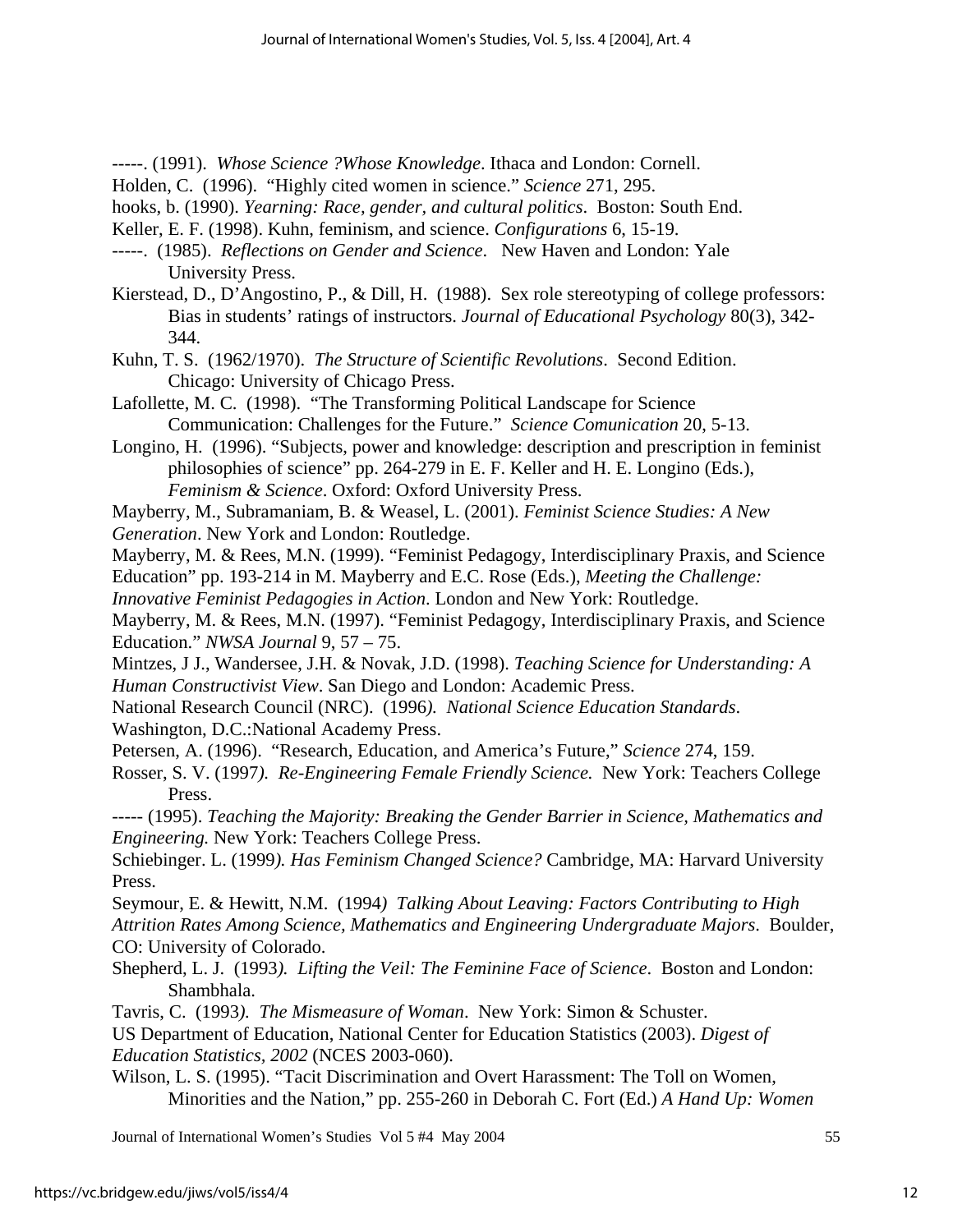-----. (1991). *Whose Science ?Whose Knowledge*. Ithaca and London: Cornell.

- Holden, C. (1996). "Highly cited women in science." *Science* 271, 295.
- hooks, b. (1990). *Yearning: Race, gender, and cultural politics*. Boston: South End.
- Keller, E. F. (1998). Kuhn, feminism, and science. *Configurations* 6, 15-19.
- -----. (1985). *Reflections on Gender and Science*. New Haven and London: Yale University Press.
- Kierstead, D., D'Angostino, P., & Dill, H. (1988). Sex role stereotyping of college professors: Bias in students' ratings of instructors. *Journal of Educational Psychology* 80(3), 342- 344.
- Kuhn, T. S. (1962/1970). *The Structure of Scientific Revolutions*. Second Edition. Chicago: University of Chicago Press.
- Lafollette, M. C. (1998). "The Transforming Political Landscape for Science Communication: Challenges for the Future." *Science Comunication* 20, 5-13.
- Longino, H. (1996). "Subjects, power and knowledge: description and prescription in feminist philosophies of science" pp. 264-279 in E. F. Keller and H. E. Longino (Eds.), *Feminism & Science*. Oxford: Oxford University Press.
- Mayberry, M., Subramaniam, B. & Weasel, L. (2001). *Feminist Science Studies: A New*
- *Generation*. New York and London: Routledge.

Mayberry, M. & Rees, M.N. (1999). "Feminist Pedagogy, Interdisciplinary Praxis, and Science

Education" pp. 193-214 in M. Mayberry and E.C. Rose (Eds.), *Meeting the Challenge:* 

*Innovative Feminist Pedagogies in Action*. London and New York: Routledge.

- Mayberry, M. & Rees, M.N. (1997). "Feminist Pedagogy, Interdisciplinary Praxis, and Science Education." *NWSA Journal* 9, 57 – 75.
- Mintzes, J J., Wandersee, J.H. & Novak, J.D. (1998). *Teaching Science for Understanding: A Human Constructivist View*. San Diego and London: Academic Press.
- National Research Council (NRC). (1996*). National Science Education Standards*. Washington, D.C.:National Academy Press.
- Petersen, A. (1996). "Research, Education, and America's Future," *Science* 274, 159.
- Rosser, S. V. (1997*). Re-Engineering Female Friendly Science.* New York: Teachers College Press.
- ----- (1995). *Teaching the Majority: Breaking the Gender Barrier in Science, Mathematics and Engineering.* New York: Teachers College Press.

Schiebinger. L. (1999*). Has Feminism Changed Science?* Cambridge, MA: Harvard University Press.

Seymour, E. & Hewitt, N.M. (1994*) Talking About Leaving: Factors Contributing to High* 

*Attrition Rates Among Science, Mathematics and Engineering Undergraduate Majors*. Boulder, CO: University of Colorado.

- Shepherd, L. J. (1993*). Lifting the Veil: The Feminine Face of Science*. Boston and London: Shambhala.
- Tavris, C. (1993*). The Mismeasure of Woman*. New York: Simon & Schuster.

US Department of Education, National Center for Education Statistics (2003). *Digest of Education Statistics, 2002* (NCES 2003-060).

Wilson, L. S. (1995). "Tacit Discrimination and Overt Harassment: The Toll on Women, Minorities and the Nation," pp. 255-260 in Deborah C. Fort (Ed.) *A Hand Up: Women*